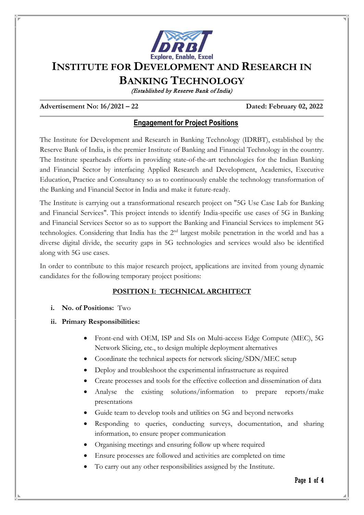

# **INSTITUTE FOR DEVELOPMENT AND RESEARCH IN**

**BANKING TECHNOLOGY**

(Established by Reserve Bank of India)

#### **Advertisement No: 16/2021 – 22 Dated: February 02, 2022**

# **Engagement for Project Positions**

The Institute for Development and Research in Banking Technology (IDRBT), established by the Reserve Bank of India, is the premier Institute of Banking and Financial Technology in the country. The Institute spearheads efforts in providing state-of-the-art technologies for the Indian Banking and Financial Sector by interfacing Applied Research and Development, Academics, Executive Education, Practice and Consultancy so as to continuously enable the technology transformation of the Banking and Financial Sector in India and make it future-ready.

The Institute is carrying out a transformational research project on "5G Use Case Lab for Banking and Financial Services". This project intends to identify India-specific use cases of 5G in Banking and Financial Services Sector so as to support the Banking and Financial Services to implement 5G technologies. Considering that India has the 2nd largest mobile penetration in the world and has a diverse digital divide, the security gaps in 5G technologies and services would also be identified along with 5G use cases.

In order to contribute to this major research project, applications are invited from young dynamic candidates for the following temporary project positions:

# **POSITION I: TECHNICAL ARCHITECT**

#### **i. No. of Positions:** Two

- **ii. Primary Responsibilities:**
	- Front-end with OEM, ISP and SIs on Multi-access Edge Compute (MEC), 5G Network Slicing, etc., to design multiple deployment alternatives
	- Coordinate the technical aspects for network slicing/SDN/MEC setup
	- Deploy and troubleshoot the experimental infrastructure as required
	- Create processes and tools for the effective collection and dissemination of data
	- Analyse the existing solutions/information to prepare reports/make presentations
	- Guide team to develop tools and utilities on 5G and beyond networks
	- Responding to queries, conducting surveys, documentation, and sharing information, to ensure proper communication
	- Organising meetings and ensuring follow up where required
	- Ensure processes are followed and activities are completed on time
	- To carry out any other responsibilities assigned by the Institute.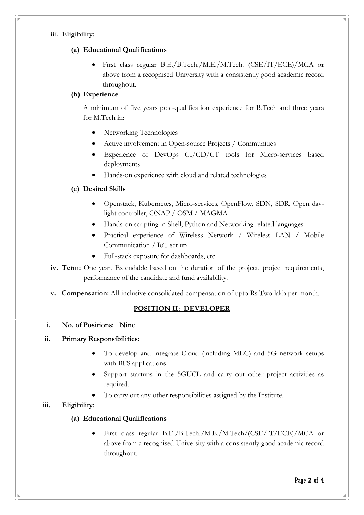#### **iii. Eligibility:**

#### **(a) Educational Qualifications**

• First class regular B.E./B.Tech./M.E./M.Tech. (CSE/IT/ECE)/MCA or above from a recognised University with a consistently good academic record throughout.

### **(b) Experience**

A minimum of five years post-qualification experience for B.Tech and three years for M.Tech in:

- Networking Technologies
- Active involvement in Open-source Projects / Communities
- Experience of DevOps CI/CD/CT tools for Micro-services based deployments
- Hands-on experience with cloud and related technologies

# **(c) Desired Skills**

- Openstack, Kubernetes, Micro-services, OpenFlow, SDN, SDR, Open daylight controller, ONAP / OSM / MAGMA
- Hands-on scripting in Shell, Python and Networking related languages
- Practical experience of Wireless Network / Wireless LAN / Mobile Communication / IoT set up
- Full-stack exposure for dashboards, etc.
- **iv. Term:** One year. Extendable based on the duration of the project, project requirements, performance of the candidate and fund availability.
- **v. Compensation:** All-inclusive consolidated compensation of upto Rs Two lakh per month.

# **POSITION II: DEVELOPER**

**i. No. of Positions: Nine** 

# **ii. Primary Responsibilities:**

- To develop and integrate Cloud (including MEC) and 5G network setups with BFS applications
- Support startups in the 5GUCL and carry out other project activities as required.
- To carry out any other responsibilities assigned by the Institute.

# **iii. Eligibility:**

# **(a) Educational Qualifications**

• First class regular B.E./B.Tech./M.E./M.Tech/(CSE/IT/ECE)/MCA or above from a recognised University with a consistently good academic record throughout.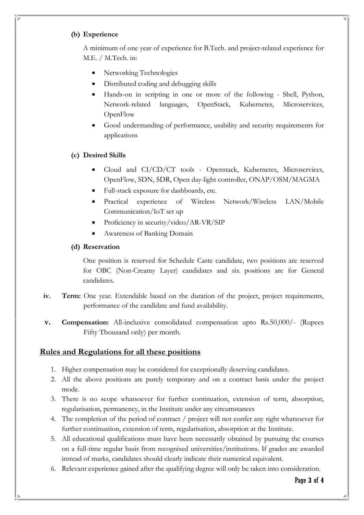#### **(b) Experience**

A minimum of one year of experience for B.Tech. and project-related experience for M.E. / M.Tech. in:

- Networking Technologies
- Distributed coding and debugging skills
- Hands-on in scripting in one or more of the following Shell, Python, Network-related languages, OpenStack, Kubernetes, Microservices, **OpenFlow**
- Good understanding of performance, usability and security requirements for applications

#### **(c) Desired Skills**

- Cloud and CI/CD/CT tools Openstack, Kubernetes, Microservices, OpenFlow, SDN, SDR, Open day-light controller, ONAP/OSM/MAGMA
- Full-stack exposure for dashboards, etc.
- Practical experience of Wireless Network/Wireless LAN/Mobile Communication/IoT set up
- Proficiency in security/video/AR-VR/SIP
- Awareness of Banking Domain

#### **(d) Reservation**

One position is reserved for Schedule Caste candidate, two positions are reserved for OBC (Non-Creamy Layer) candidates and six positions are for General candidates.

- **iv. Term:** One year. Extendable based on the duration of the project, project requirements, performance of the candidate and fund availability.
- **v. Compensation:** All-inclusive consolidated compensation upto Rs.50,000/- (Rupees Fifty Thousand only) per month.

#### **Rules and Regulations for all these positions**

- 1. Higher compensation may be considered for exceptionally deserving candidates.
- 2. All the above positions are purely temporary and on a contract basis under the project mode.
- 3. There is no scope whatsoever for further continuation, extension of term, absorption, regularisation, permanency, in the Institute under any circumstances
- 4. The completion of the period of contract / project will not confer any right whatsoever for further continuation, extension of term, regularisation, absorption at the Institute.
- 5. All educational qualifications must have been necessarily obtained by pursuing the courses on a full-time regular basis from recognised universities/institutions. If grades are awarded instead of marks, candidates should clearly indicate their numerical equivalent.
- 6. Relevant experience gained after the qualifying degree will only be taken into consideration.